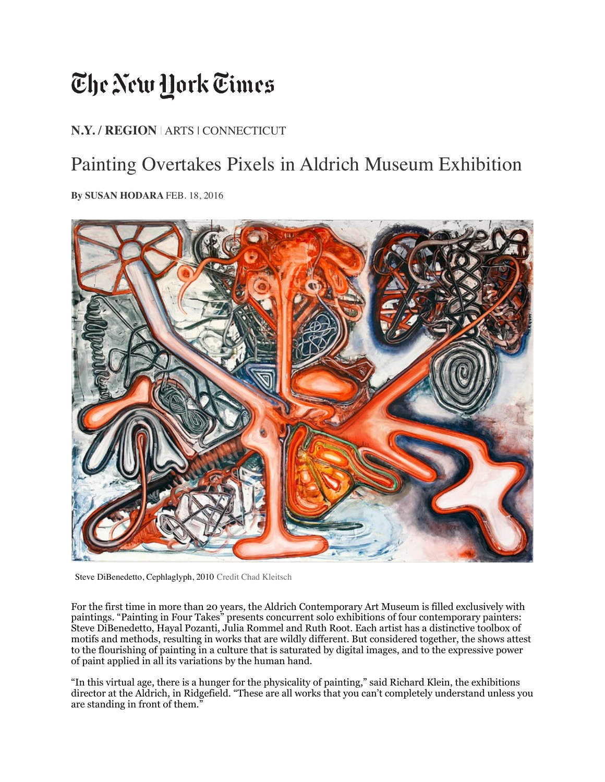## The New Hork Times

## **[N.Y. / REGION](http://www.nytimes.com/section/nyregion)** | ARTS | CONNECTICUT

## Painting Overtakes Pixels in Aldrich Museum Exhibition

**By SUSAN HODARA** FEB. 18, 2016



Steve DiBenedetto, Cephlaglyph, 2010 Credit Chad Kleitsch

For the first time in more than 20 years, the [Aldrich Contemporary Art Museum](http://aldrichart.org/) is filled exclusively with paintings. "Painting in Four Takes" presents concurrent solo exhibitions of four contemporary painters: [Steve DiBenedetto,](http://www.davidnolangallery.com/artists/steve-dibenedetto/) [Hayal Pozanti](http://jessicasilvermangallery.com/hayal-pozanti/), [Julia Rommel](http://www.bureau-inc.com/mainsite/Artists/Julia/JuliaRommel.html) and [Ruth Root](http://www.andrewkreps.com/artist/ruth-root/). Each artist has a distinctive toolbox of motifs and methods, resulting in works that are wildly different. But considered together, the shows attest to the flourishing of painting in a culture that is saturated by digital images, and to the expressive power of paint applied in all its variations by the human hand.

"In this virtual age, there is a hunger for the physicality of painting," said Richard Klein, the exhibitions director at the Aldrich, in Ridgefield. "These are all works that you can't completely understand unless you are standing in front of them."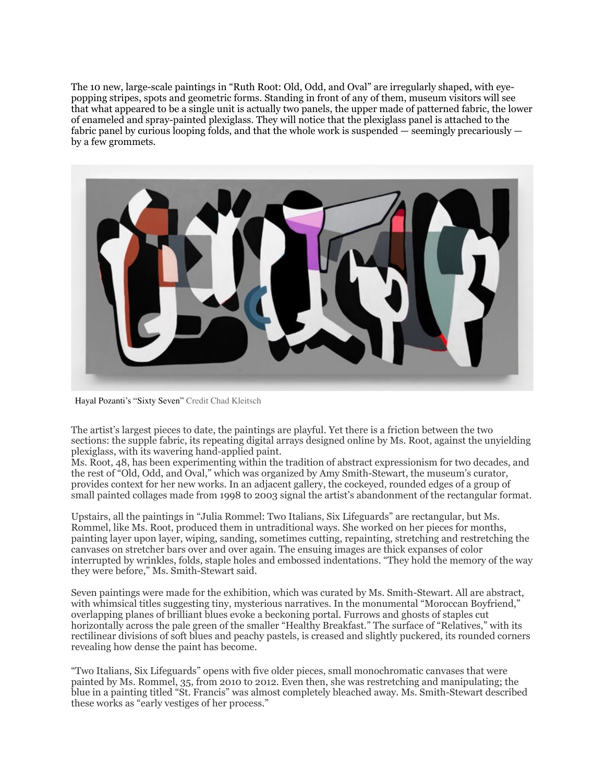The 10 new, large-scale paintings in "Ruth Root: Old, Odd, and Oval" are irregularly shaped, with eyepopping stripes, spots and geometric forms. Standing in front of any of them, museum visitors will see that what appeared to be a single unit is actually two panels, the upper made of patterned fabric, the lower of enameled and spray-painted plexiglass. They will notice that the plexiglass panel is attached to the fabric panel by curious looping folds, and that the whole work is suspended  $-$  seemingly precariously  $$ by a few grommets.



Hayal Pozanti's "Sixty Seven" Credit Chad Kleitsch

The artist's largest pieces to date, the paintings are playful. Yet there is a friction between the two sections: the supple fabric, its repeating digital arrays designed online by Ms. Root, against the unyielding plexiglass, with its wavering hand-applied paint.

Ms. Root, 48, has been experimenting within the tradition of abstract expressionism for two decades, and the rest of "Old, Odd, and Oval," which was organized by Amy Smith-Stewart, the museum's curator, provides context for her new works. In an adjacent gallery, the cockeyed, rounded edges of a group of small painted collages made from 1998 to 2003 signal the artist's abandonment of the rectangular format.

Upstairs, all the paintings in "Julia Rommel: Two Italians, Six Lifeguards" are rectangular, but Ms. Rommel, like Ms. Root, produced them in untraditional ways. She worked on her pieces for months, painting layer upon layer, wiping, sanding, sometimes cutting, repainting, stretching and restretching the canvases on stretcher bars over and over again. The ensuing images are thick expanses of color interrupted by wrinkles, folds, staple holes and embossed indentations. "They hold the memory of the way they were before," Ms. Smith-Stewart said.

Seven paintings were made for the exhibition, which was curated by Ms. Smith-Stewart. All are abstract, with whimsical titles suggesting tiny, mysterious narratives. In the monumental "Moroccan Boyfriend," overlapping planes of brilliant blues evoke a beckoning portal. Furrows and ghosts of staples cut horizontally across the pale green of the smaller "Healthy Breakfast." The surface of "Relatives," with its rectilinear divisions of soft blues and peachy pastels, is creased and slightly puckered, its rounded corners revealing how dense the paint has become.

"Two Italians, Six Lifeguards" opens with five older pieces, small monochromatic canvases that were painted by Ms. Rommel, 35, from 2010 to 2012. Even then, she was restretching and manipulating; the blue in a painting titled "St. Francis" was almost completely bleached away. Ms. Smith-Stewart described these works as "early vestiges of her process."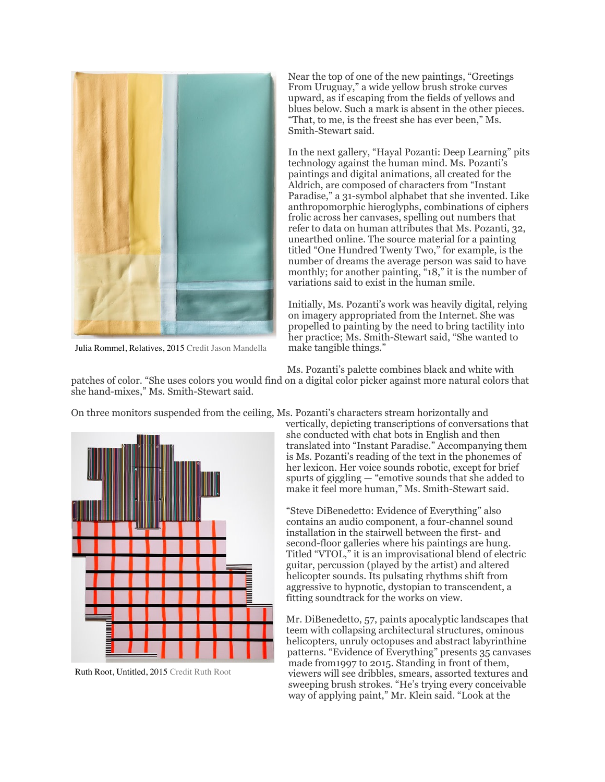

Julia Rommel, Relatives, 2015 Credit Jason Mandella

Near the top of one of the new paintings, "Greetings From Uruguay," a wide yellow brush stroke curves upward, as if escaping from the fields of yellows and blues below. Such a mark is absent in the other pieces. "That, to me, is the freest she has ever been," Ms. Smith-Stewart said.

In the next gallery, "Hayal Pozanti: Deep Learning" pits technology against the human mind. Ms. Pozanti's paintings and digital animations, all created for the Aldrich, are composed of characters from "Instant Paradise," a 31-symbol alphabet that she invented. Like anthropomorphic hieroglyphs, combinations of ciphers frolic across her canvases, spelling out numbers that refer to data on human attributes that Ms. Pozanti, 32, unearthed online. The source material for a painting titled "One Hundred Twenty Two," for example, is the number of dreams the average person was said to have monthly; for another painting, "18," it is the number of variations said to exist in the human smile.

Initially, Ms. Pozanti's work was heavily digital, relying on imagery appropriated from the Internet. She was propelled to painting by the need to bring tactility into her practice; Ms. Smith-Stewart said, "She wanted to make tangible things."

Ms. Pozanti's palette combines black and white with

patches of color. "She uses colors you would find on a digital color picker against more natural colors that she hand-mixes," Ms. Smith-Stewart said.

On three monitors suspended from the ceiling, Ms. Pozanti's characters stream horizontally and



Ruth Root, Untitled, 2015 Credit Ruth Root

vertically, depicting transcriptions of conversations that she conducted with chat bots in English and then translated into "Instant Paradise." Accompanying them is Ms. Pozanti's reading of the text in the phonemes of her lexicon. Her voice sounds robotic, except for brief spurts of giggling — "emotive sounds that she added to make it feel more human," Ms. Smith-Stewart said.

"Steve DiBenedetto: Evidence of Everything" also contains an audio component, a four-channel sound installation in the stairwell between the first- and second-floor galleries where his paintings are hung. Titled "VTOL," it is an improvisational blend of electric guitar, percussion (played by the artist) and altered helicopter sounds. Its pulsating rhythms shift from aggressive to hypnotic, dystopian to transcendent, a fitting soundtrack for the works on view.

Mr. DiBenedetto, 57, paints apocalyptic landscapes that teem with collapsing architectural structures, ominous helicopters, unruly octopuses and abstract labyrinthine patterns. "Evidence of Everything" presents 35 canvases made from1997 to 2015. Standing in front of them, viewers will see dribbles, smears, assorted textures and sweeping brush strokes. "He's trying every conceivable way of applying paint," Mr. Klein said. "Look at the